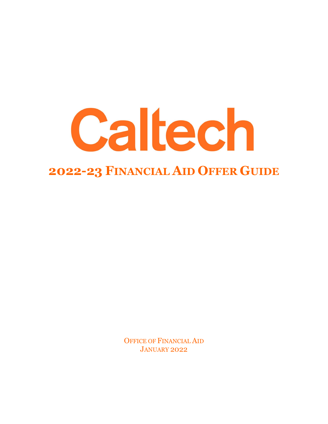

OFFICE OF FINANCIAL AID JANUARY 2022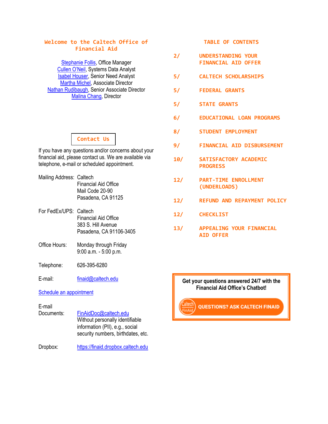# **Welcome to the Caltech Office of Financial Aid**

[Stephanie Follis,](mailto:sfollis@finaid.caltech.edu) Office Manager [Cullen O'Neil](mailto:coneil@caltech.edu), Systems Data Analyst [Isabel Houser,](mailto:isabel@finaid.caltech.edu) Senior Need Analyst [Martha Michel,](mailto:mmichel@caltech.edu) Associate Director [Nathan Rudibaugh,](mailto:nathanr@caltech.edu) Senior Associate Director [Malina Chang,](mailto:machang@caltech.edu) Director

# **Contact Us**

If you have any questions and/or concerns about your financial aid, please contact us. We are available via telephone, e-mail or scheduled appointment.

- Mailing Address: Caltech Financial Aid Office Mail Code 20-90 Pasadena, CA 91125
- For FedEx/UPS: Caltech Financial Aid Office 383 S. Hill Avenue Pasadena, CA 91106-3405
- Office Hours: Monday through Friday 9:00 a.m. - 5:00 p.m.
- Telephone: 626-395-6280

E-mail: [finaid@caltech.edu](mailto:finaid@caltech.edu)

#### [Schedule an appointment](https://outlook.office365.com/owa/calendar/FinancialAidOfficeBookings@caltech.onmicrosoft.com/bookings/)

# E-mail

Documents: [FinAidDoc@caltech.edu](mailto:FinAidDoc@caltech.edu) Without personally identifiable information (PII), e.g., social security numbers, birthdates, etc.

Dropbox: [https://finaid.dropbox.caltech.edu](https://finaid.dropbox.caltech.edu/)

# **TABLE OF CONTENTS**

- **2/ UNDERSTANDING YOUR FINANCIAL AID OFFER**
- **5/ CALTECH SCHOLARSHIPS**
- **5/ FEDERAL GRANTS**
- **5/ STATE GRANTS**
- **6/ EDUCATIONAL LOAN PROGRAMS**
- **8/ STUDENT EMPLOYMENT**
- **9/ FINANCIAL AID DISBURSEMENT**
- **10/ SATISFACTORY ACADEMIC PROGRESS**
- **12/ PART-TIME ENROLLMENT (UNDERLOADS)**
- **12/ REFUND AND REPAYMENT POLICY**
- **12/ CHECKLIST**
- **13/ APPEALING YOUR FINANCIAL AID OFFER**

# **Get your questions answered 24/7 with the Financial Aid Office's Chatbot!**

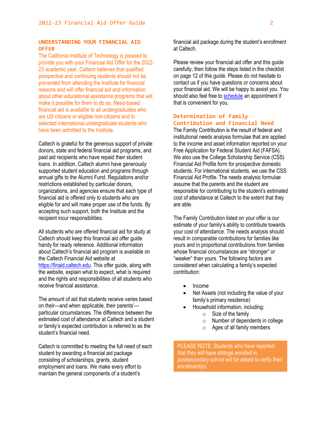# **UNDERSTANDING YOUR FINANCIAL AID OFFER**

The California Institute of Technology is pleased to provide you with your Financial Aid Offer for the 2022- 23 academic year. Caltech believes that qualified prospective and continuing students should not be prevented from attending the Institute for financial reasons and will offer financial aid and information about other educational assistance programs that will make it possible for them to do so. Need-based financial aid is available to all undergraduates who are US citizens or eligible non-citizens and to selected international undergraduate students who have been admitted to the Institute.

Caltech is grateful for the generous support of private donors, state and federal financial aid programs, and past aid recipients who have repaid their student loans. In addition, Caltech alumni have generously supported student education and programs through annual gifts to the Alumni Fund. Regulations and/or restrictions established by particular donors, organizations, and agencies ensure that each type of financial aid is offered only to students who are eligible for and will make proper use of the funds. By accepting such support, both the Institute and the recipient incur responsibilities.

All students who are offered financial aid for study at Caltech should keep this financial aid offer guide handy for ready reference. Additional information about Caltech's financial aid program is available on the Caltech Financial Aid website at [https://finaid.caltech.edu.](https://finaid.caltech.edu/) This offer guide, along with the website, explain what to expect, what is required and the rights and responsibilities of all students who receive financial assistance.

The amount of aid that students receive varies based on their—and when applicable, their parents' particular circumstances. The difference between the estimated cost of attendance at Caltech and a student or family's expected contribution is referred to as the student's financial need.

Caltech is committed to meeting the full need of each student by awarding a financial aid package consisting of scholarships, grants, student employment and loans. We make every effort to maintain the general components of a student's

financial aid package during the student's enrollment at Caltech.

Please review your financial aid offer and this guide carefully; then follow the steps listed in the checklist on page 12 of this guide. Please do not hesitate to contact us if you have questions or concerns about your financial aid. We will be happy to assist you. You should also feel free to [schedule](https://outlook.office365.com/owa/calendar/FinancialAidOfficeBookings@caltech.onmicrosoft.com/bookings/) an appointment if that is convenient for you.

# **Determination of Family Contribution and Financial Need**

The Family Contribution is the result of federal and institutional needs analysis formulae that are applied to the income and asset information reported on your Free Application for Federal Student Aid (FAFSA). We also use the College Scholarship Service (CSS) Financial Aid Profile form for prospective domestic students. For international students, we use the CSS Financial Aid Profile. The needs analysis formulae assume that the parents and the student are responsible for contributing to the student's estimated cost of attendance at Caltech to the extent that they are able.

The Family Contribution listed on your offer is our estimate of your family's ability to contribute towards your cost of attendance. The needs analysis should result in comparable contributions for families like yours and in proportional contributions from families whose financial circumstances are "stronger" or "weaker" than yours. The following factors are considered when calculating a family's expected contribution:

- Income
- Net Assets (not including the value of your family's primary residence)
	- Household information, including:
		- o Size of the family
		- o Number of dependents in college
		- o Ages of all family members

PLEASE NOTE: Students who have reported that they will have siblings enrolled in postsecondary school will be asked to verify their enrollment(s).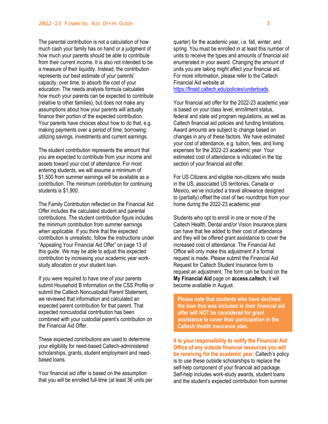The parental contribution is not a calculation of how much cash your family has on hand or a judgment of how much your parents should be able to contribute from their current income. It is also not intended to be a measure of their liquidity. Instead, the contribution represents our best estimate of your parents' capacity, over time, to absorb the cost of your education. The needs analysis formula calculates how much your parents can be expected to contribute (relative to other families), but does not make any assumptions about how your parents will actually finance their portion of the expected contribution. Your parents have choices about how to do that, e.g. making payments over a period of time; borrowing; utilizing savings, investments and current earnings.

The student contribution represents the amount that you are expected to contribute from your income and assets toward your cost of attendance. For most entering students, we will assume a minimum of \$1,500 from summer earnings will be available as a contribution. The minimum contribution for continuing students is \$1,900.

The Family Contribution reflected on the Financial Aid Offer includes the calculated student and parental contributions. The student contribution figure includes the minimum contribution from summer earnings when applicable. If you think that the expected contribution is unrealistic, follow the instructions under "Appealing Your Financial Aid Offer" on page 13 of this guide. We may be able to adjust this expected contribution by increasing your academic year workstudy allocation or your student loan.

If you were required to have one of your parents submit Household B information on the CSS Profile or submit the Caltech Noncustodial Parent Statement, we reviewed that information and calculated an expected parent contribution for that parent. That expected noncustodial contribution has been combined with your custodial parent's contribution on the Financial Aid Offer.

These expected contributions are used to determine your eligibility for need-based Caltech-administered scholarships, grants, student employment and needbased loans.

Your financial aid offer is based on the assumption that you will be enrolled full-time (at least 36 units per quarter) for the academic year, i.e. fall, winter, and spring. You must be enrolled in at least this number of units to receive the types and amounts of financial aid enumerated in your award. Changing the amount of units you are taking might affect your financial aid. For more information, please refer to the Caltech Financial Aid website at [https://finaid.caltech.edu/policies/underloads.](https://finaid.caltech.edu/policies/underloads)

Your financial aid offer for the 2022-23 academic year is based on your class level, enrollment status, federal and state aid program regulations, as well as Caltech financial aid policies and funding limitations. Award amounts are subject to change based on changes in any of these factors. We have estimated your cost of attendance, e.g. tuition, fees, and living expenses for the 2022-23 academic year. Your estimated cost of attendance is indicated in the top section of your financial aid offer.

For US Citizens and eligible non-citizens who reside in the US, associated US territories, Canada or Mexico, we've included a travel allowance designed to (partially) offset the cost of two roundtrips from your home during the 2022-23 academic year.

Students who opt to enroll in one or more of the Caltech Health, Dental and/or Vision Insurance plans can have that fee added to their cost of attendance and they will be offered grant assistance to cover the increased cost of attendance. The Financial Aid Office will only make this adjustment if a formal request is made. Please submit the Financial Aid Request for Caltech Student Insurance form to request an adjustment. The form can be found on the **My Financial Aid** page on **access.caltech**; it will become available in August.

**Please note that students who have declined the loan that was included in their financial aid offer will NOT be considered for grant assistance to cover their participation in the Caltech Health Insurance plan.**

**It is your responsibility to notify the Financial Aid Office of any outside financial resources you will be receiving for the academic year.** Caltech's policy is to use these outside scholarships to replace the self-help component of your financial aid package. Self-help includes work-study awards, student loans and the student's expected contribution from summer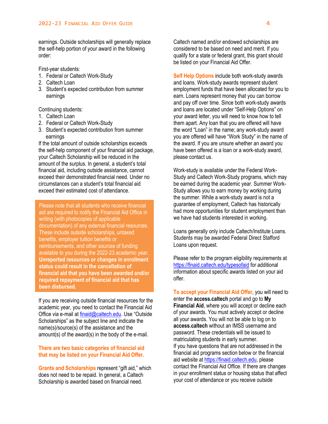earnings. Outside scholarships will generally replace the self-help portion of your award in the following order:

First-year students:

- 1. Federal or Caltech Work-Study
- 2. Caltech Loan
- 3. Student's expected contribution from summer earnings

Continuing students:

- 1. Caltech Loan
- 2. Federal or Caltech Work-Study
- 3. Student's expected contribution from summer earnings

If the total amount of outside scholarships exceeds the self-help component of your financial aid package, your Caltech Scholarship will be reduced in the amount of the surplus. In general, a student's total financial aid, including outside assistance, cannot exceed their demonstrated financial need. Under no circumstances can a student's total financial aid exceed their estimated cost of attendance.

Please note that all students who receive financial aid are required to notify the Financial Aid Office in writing (with photocopies of applicable documentation) of any external financial resources. These include outside scholarships, untaxed benefits, employer tuition benefits or reimbursements, and other sources of funding available to you during the 2022-23 academic year. **Unreported resources or changes in enrollment status could result in the cancellation of financial aid that you have been awarded and/or required repayment of financial aid that has been disbursed.**

If you are receiving outside financial resources for the academic year, you need to contact the Financial Aid Office via e-mail at [finaid@caltech.edu.](mailto:finaid@caltech.edu) Use "Outside Scholarships" as the subject line and indicate the name(s)/source(s) of the assistance and the amount(s) of the award(s) in the body of the e-mail.

# **There are two basic categories of financial aid that may be listed on your Financial Aid Offer.**

**Grants and Scholarships** represent "gift aid," which does not need to be repaid. In general, a Caltech Scholarship is awarded based on financial need.

Caltech named and/or endowed scholarships are considered to be based on need and merit. If you qualify for a state or federal grant, this grant should be listed on your Financial Aid Offer.

**Self Help Options** include both work-study awards and loans. Work-study awards represent student employment funds that have been allocated for you to earn. Loans represent money that you can borrow and pay off over time. Since both work-study awards and loans are located under "Self-Help Options" on your award letter, you will need to know how to tell them apart. Any loan that you are offered will have the word "Loan" in the name; any work-study award you are offered will have "Work Study" in the name of the award. If you are unsure whether an award you have been offered is a loan or a work-study award, please contact us.

Work-study is available under the Federal Work-Study and Caltech Work-Study programs, which may be earned during the academic year. Summer Work-Study allows you to earn money by working during the summer. While a work-study award is not a guarantee of employment, Caltech has historically had more opportunities for student employment than we have had students interested in working.

Loans generally only include Caltech/Institute Loans. Students may be awarded Federal Direct Stafford Loans upon request.

Please refer to the program eligibility requirements at <https://finaid.caltech.edu/typesofaid> for additional information about specific awards listed on your aid offer.

**To accept your Financial Aid Offer**, you will need to enter the **access.caltech** portal and go to **My Financial Aid**, where you will accept or decline each of your awards. You must actively accept or decline all your awards. You will not be able to log on to **access.caltech** without an IMSS username and password. These credentials will be issued to matriculating students in early summer. If you have questions that are not addressed in the financial aid programs section below or the financial aid website a[t https://finaid.caltech.edu,](https://finaid.caltech.edu/) please contact the Financial Aid Office. If there are changes in your enrollment status or housing status that affect your cost of attendance or you receive outside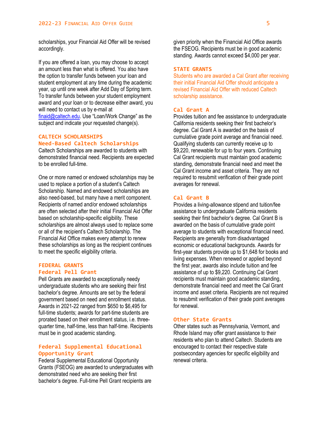scholarships, your Financial Aid Offer will be revised accordingly.

If you are offered a loan, you may choose to accept an amount less than what is offered. You also have the option to transfer funds between your loan and student employment at any time during the academic year, up until one week after Add Day of Spring term. To transfer funds between your student employment award and your loan or to decrease either award, you will need to contact us by e-mail at [finaid@caltech.edu.](mailto:finaid@caltech.edu) Use "Loan/Work Change" as the subject and indicate your requested change(s).

## **CALTECH SCHOLARSHIPS Need-Based Caltech Scholarships**

Caltech Scholarships are awarded to students with demonstrated financial need. Recipients are expected to be enrolled full-time.

One or more named or endowed scholarships may be used to replace a portion of a student's Caltech Scholarship. Named and endowed scholarships are also need-based, but many have a merit component. Recipients of named and/or endowed scholarships are often selected after their initial Financial Aid Offer based on scholarship-specific eligibility. These scholarships are almost always used to replace some or all of the recipient's Caltech Scholarship. The Financial Aid Office makes every attempt to renew these scholarships as long as the recipient continues to meet the specific eligibility criteria.

# **FEDERAL GRANTS Federal Pell Grant**

Pell Grants are awarded to exceptionally needy undergraduate students who are seeking their first bachelor's degree. Amounts are set by the federal government based on need and enrollment status. Awards in 2021-22 ranged from \$650 to \$6,495 for full-time students; awards for part-time students are prorated based on their enrollment status, i.e. threequarter time, half-time, less than half-time. Recipients must be in good academic standing.

#### **Federal Supplemental Educational Opportunity Grant**

Federal Supplemental Educational Opportunity Grants (FSEOG) are awarded to undergraduates with demonstrated need who are seeking their first bachelor's degree. Full-time Pell Grant recipients are

given priority when the Financial Aid Office awards the FSEOG. Recipients must be in good academic standing. Awards cannot exceed \$4,000 per year.

#### **STATE GRANTS**

Students who are awarded a Cal Grant after receiving their initial Financial Aid Offer should anticipate a revised Financial Aid Offer with reduced Caltech scholarship assistance.

## **Cal Grant A**

Provides tuition and fee assistance to undergraduate California residents seeking their first bachelor's degree. Cal Grant A is awarded on the basis of cumulative grade point average and financial need. Qualifying students can currently receive up to \$9,220, renewable for up to four years. Continuing Cal Grant recipients must maintain good academic standing, demonstrate financial need and meet the Cal Grant income and asset criteria. They are not required to resubmit verification of their grade point averages for renewal.

# **Cal Grant B**

Provides a living-allowance stipend and tuition/fee assistance to undergraduate California residents seeking their first bachelor's degree. Cal Grant B is awarded on the basis of cumulative grade point average to students with exceptional financial need. Recipients are generally from disadvantaged economic or educational backgrounds. Awards for first-year students provide up to \$1,648 for books and living expenses. When renewed or applied beyond the first year, awards also include tuition and fee assistance of up to \$9,220. Continuing Cal Grant recipients must maintain good academic standing, demonstrate financial need and meet the Cal Grant income and asset criteria. Recipients are not required to resubmit verification of their grade point averages for renewal.

#### **Other State Grants**

Other states such as Pennsylvania, Vermont, and Rhode Island may offer grant assistance to their residents who plan to attend Caltech. Students are encouraged to contact their respective state postsecondary agencies for specific eligibility and renewal criteria.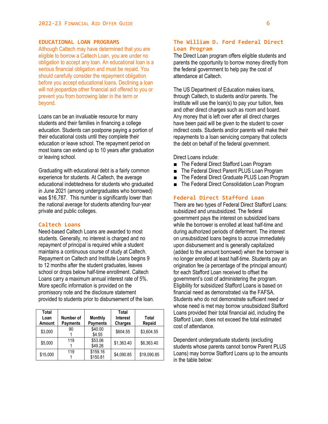### **EDUCATIONAL LOAN PROGRAMS**

Although Caltech may have determined that you are eligible to borrow a Caltech Loan, you are under no obligation to accept any loan. An educational loan is a serious financial obligation and must be repaid. You should carefully consider the repayment obligation before you accept educational loans. Declining a loan will not jeopardize other financial aid offered to you or prevent you from borrowing later in the term or beyond.

Loans can be an invaluable resource for many students and their families in financing a college education. Students can postpone paying a portion of their educational costs until they complete their education or leave school. The repayment period on most loans can extend up to 10 years after graduation or leaving school.

Graduating with educational debt is a fairly common experience for students. At Caltech, the average educational indebtedness for students who graduated in June 2021 (among undergraduates who borrowed) was \$16,787. This number is significantly lower than the national average for students attending four-year private and public colleges.

### **Caltech Loans**

Need-based Caltech Loans are awarded to most students. Generally, no interest is charged and no repayment of principal is required while a student maintains a continuous course of study at Caltech. Repayment on Caltech and Institute Loans begins 9 to 12 months after the student graduates, leaves school or drops below half-time enrollment. Caltech Loans carry a maximum annual interest rate of 5%. More specific information is provided on the promissory note and the disclosure statement provided to students prior to disbursement of the loan.

| Total<br>Loan<br>Amount | Number of<br><b>Payments</b> | <b>Monthly</b><br><b>Payments</b> | Total<br><b>Interest</b><br>Charges | Total<br>Repaid |
|-------------------------|------------------------------|-----------------------------------|-------------------------------------|-----------------|
| \$3,000                 | 90                           | \$40.00<br>\$4.55                 | \$604.55                            | \$3,604.55      |
| \$5,000                 | 119                          | \$53.06<br>\$49.26                | \$1,363.40                          | \$6,363.40      |
| \$15,000                | 119                          | \$159.16<br>\$150.81              | \$4,090.85                          | \$19,090.85     |

# **The William D. Ford Federal Direct Loan Program**

The Direct Loan program offers eligible students and parents the opportunity to borrow money directly from the federal government to help pay the cost of attendance at Caltech.

The US Department of Education makes loans, through Caltech, to students and/or parents. The Institute will use the loan(s) to pay your tuition, fees and other direct charges such as room and board. Any money that is left over after all direct charges have been paid will be given to the student to cover indirect costs. Students and/or parents will make their repayments to a loan servicing company that collects the debt on behalf of the federal government.

#### Direct Loans include:

- The Federal Direct Stafford Loan Program
- The Federal Direct Parent PLUS Loan Program
- The Federal Direct Graduate PLUS Loan Program
- The Federal Direct Consolidation Loan Program

# **Federal Direct Stafford Loan**

There are two types of Federal Direct Stafford Loans: subsidized and unsubsidized. The federal government pays the interest on subsidized loans while the borrower is enrolled at least half-time and during authorized periods of deferment. The interest on unsubsidized loans begins to accrue immediately upon disbursement and is generally capitalized (added to the amount borrowed) when the borrower is no longer enrolled at least half-time. Students pay an origination fee (a percentage of the principal amount) for each Stafford Loan received to offset the government's cost of administering the program. Eligibility for subsidized Stafford Loans is based on financial need as demonstrated via the FAFSA. Students who do not demonstrate sufficient need or whose need is met may borrow unsubsidized Stafford Loans provided their total financial aid, including the Stafford Loan, does not exceed the total estimated cost of attendance.

Dependent undergraduate students (excluding students whose parents cannot borrow Parent PLUS Loans) may borrow Stafford Loans up to the amounts in the table below: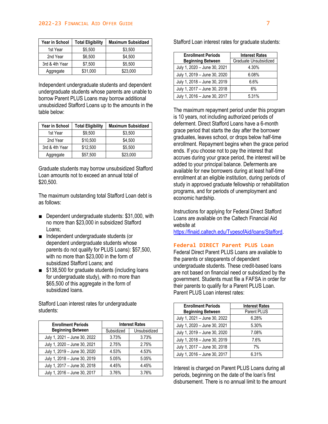#### 2022-23 FINANCIAL AID OFFER GUIDE 7

| <b>Year in School</b> | <b>Total Eligibility</b> | <b>Maximum Subsidized</b> |
|-----------------------|--------------------------|---------------------------|
| 1st Year              | \$5.500                  | \$3.500                   |
| 2nd Year              | \$6.500                  | \$4.500                   |
| 3rd & 4th Year        | \$7.500                  | \$5.500                   |
| Aggregate             | \$31,000                 | \$23,000                  |

Independent undergraduate students and dependent undergraduate students whose parents are unable to borrow Parent PLUS Loans may borrow additional unsubsidized Stafford Loans up to the amounts in the table below:

| <b>Year in School</b> | <b>Total Eligibility</b> | <b>Maximum Subsidized</b> |
|-----------------------|--------------------------|---------------------------|
| 1st Year              | \$9.500                  | \$3.500                   |
| 2nd Year              | \$10.500                 | \$4.500                   |
| 3rd & 4th Year        | \$12,500                 | \$5,500                   |
| Aggregate             | \$57,500                 | \$23,000                  |

Graduate students may borrow unsubsidized Stafford Loan amounts not to exceed an annual total of \$20,500.

The maximum outstanding total Stafford Loan debt is as follows:

- Dependent undergraduate students: \$31,000, with no more than \$23,000 in subsidized Stafford Loans;
- Independent undergraduate students (or dependent undergraduate students whose parents do not qualify for PLUS Loans): \$57,500, with no more than \$23,000 in the form of subsidized Stafford Loans; and
- \$138,500 for graduate students (including loans for undergraduate study), with no more than \$65,500 of this aggregate in the form of subsidized loans.

Stafford Loan interest rates for undergraduate students:

| <b>Enrollment Periods</b>    | <b>Interest Rates</b> |              |
|------------------------------|-----------------------|--------------|
| <b>Beginning Between</b>     | Subsidized            | Unsubsidized |
| July 1, 2021 - June 30, 2022 | 3.73%                 | 3.73%        |
| July 1, 2020 - June 30, 2021 | 2.75%                 | 2.75%        |
| July 1, 2019 - June 30, 2020 | 4.53%                 | 4.53%        |
| July 1, 2018 - June 30, 2019 | 5.05%                 | 5.05%        |
| July 1, 2017 - June 30, 2018 | 4.45%                 | 4.45%        |
| July 1, 2016 - June 30, 2017 | 3.76%                 | 3.76%        |

Stafford Loan interest rates for graduate students:

| <b>Enrollment Periods</b>    | <b>Interest Rates</b> |
|------------------------------|-----------------------|
| <b>Beginning Between</b>     | Graduate Unsubsidized |
| July 1, 2020 - June 30, 2021 | 4.30%                 |
| July 1, 2019 - June 30, 2020 | 6.08%                 |
| July 1, 2018 - June 30, 2019 | 6.6%                  |
| July 1, 2017 - June 30, 2018 | 6%                    |
| July 1, 2016 - June 30, 2017 | 5.31%                 |

The maximum repayment period under this program is 10 years, not including authorized periods of deferment. Direct Stafford Loans have a 6-month grace period that starts the day after the borrower graduates, leaves school, or drops below half-time enrollment. Repayment begins when the grace period ends. If you choose not to pay the interest that accrues during your grace period, the interest will be added to your principal balance. Deferments are available for new borrowers during at least half-time enrollment at an eligible institution, during periods of study in approved graduate fellowship or rehabilitation programs, and for periods of unemployment and economic hardship.

Instructions for applying for Federal Direct Stafford Loans are available on the Caltech Financial Aid website at

[https://finaid.caltech.edu/TypesofAid/loans/Stafford.](https://finaid.caltech.edu/TypesofAid/loans/Stafford)

#### **Federal DIRECT Parent PLUS Loan**

Federal Direct Parent PLUS Loans are available to the parents or stepparents of dependent undergraduate students. These credit-based loans are not based on financial need or subsidized by the government. Students must file a FAFSA in order for their parents to qualify for a Parent PLUS Loan. Parent PLUS Loan interest rates:

| <b>Enrollment Periods</b>    | <b>Interest Rates</b> |
|------------------------------|-----------------------|
| <b>Beginning Between</b>     | <b>Parent PLUS</b>    |
| July 1, 2021 - June 30, 2022 | 6.28%                 |
| July 1, 2020 - June 30, 2021 | 5.30%                 |
| July 1, 2019 - June 30, 2020 | 7.08%                 |
| July 1, 2018 - June 30, 2019 | 7.6%                  |
| July 1, 2017 - June 30, 2018 | 7%                    |
| July 1, 2016 - June 30, 2017 | 6.31%                 |

Interest is charged on Parent PLUS Loans during all periods, beginning on the date of the loan's first disbursement. There is no annual limit to the amount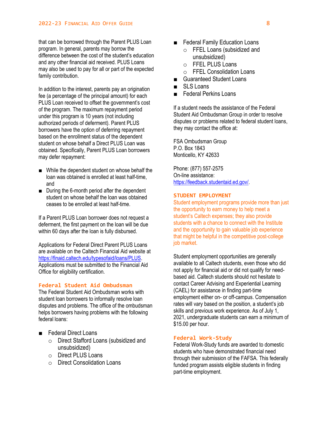that can be borrowed through the Parent PLUS Loan program. In general, parents may borrow the difference between the cost of the student's education and any other financial aid received. PLUS Loans may also be used to pay for all or part of the expected family contribution.

In addition to the interest, parents pay an origination fee (a percentage of the principal amount) for each PLUS Loan received to offset the government's cost of the program. The maximum repayment period under this program is 10 years (not including authorized periods of deferment). Parent PLUS borrowers have the option of deferring repayment based on the enrollment status of the dependent student on whose behalf a Direct PLUS Loan was obtained. Specifically, Parent PLUS Loan borrowers may defer repayment:

- While the dependent student on whose behalf the loan was obtained is enrolled at least half-time, and
- During the 6-month period after the dependent student on whose behalf the loan was obtained ceases to be enrolled at least half-time.

If a Parent PLUS Loan borrower does not request a deferment, the first payment on the loan will be due within 60 days after the loan is fully disbursed.

Applications for Federal Direct Parent PLUS Loans are available on the Caltech Financial Aid website at [https://finaid.caltech.edu/typesofaid/loans/PLUS.](https://finaid.caltech.edu/typesofaid/loans/PLUS) Applications must be submitted to the Financial Aid Office for eligibility certification.

#### **Federal Student Aid Ombudsman**

The Federal Student Aid Ombudsman works with student loan borrowers to informally resolve loan disputes and problems. The office of the ombudsman helps borrowers having problems with the following federal loans:

- Federal Direct Loans
	- o Direct Stafford Loans (subsidized and unsubsidized)
	- o Direct PLUS Loans
	- o Direct Consolidation Loans
- Federal Family Education Loans
	- o FFEL Loans (subsidized and unsubsidized)
	- o FFEL PLUS Loans
	- o FFEL Consolidation Loans
- **Guaranteed Student Loans**
- SLS Loans
- Federal Perkins Loans

If a student needs the assistance of the Federal Student Aid Ombudsman Group in order to resolve disputes or problems related to federal student loans, they may contact the office at:

FSA Ombudsman Group P.O. Box 1843 Monticello, KY 42633

Phone: (877) 557-2575 On-line assistance: [https://feedback.studentaid.ed.gov/.](https://feedback.studentaid.ed.gov/)

#### **STUDENT EMPLOYMENT**

Student employment programs provide more than just the opportunity to earn money to help meet a student's Caltech expenses; they also provide students with a chance to connect with the Institute and the opportunity to gain valuable job experience that might be helpful in the competitive post-college job market.

Student employment opportunities are generally available to all Caltech students, even those who did not apply for financial aid or did not qualify for needbased aid. Caltech students should not hesitate to contact Career Advising and Experiential Learning (CAEL) for assistance in finding part-time employment either on- or off-campus. Compensation rates will vary based on the position, a student's job skills and previous work experience. As of July 1, 2021, undergraduate students can earn a minimum of \$15.00 per hour.

#### **Federal Work-Study**

Federal Work-Study funds are awarded to domestic students who have demonstrated financial need through their submission of the FAFSA. This federally funded program assists eligible students in finding part-time employment.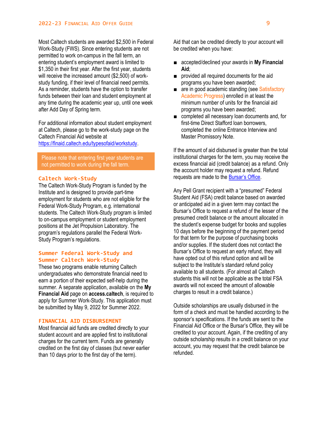Most Caltech students are awarded \$2,500 in Federal Work-Study (FWS). Since entering students are not permitted to work on-campus in the fall term, an entering student's employment award is limited to \$1,350 in their first year. After the first year, students will receive the increased amount (\$2,500) of workstudy funding, if their level of financial need permits. As a reminder, students have the option to transfer funds between their loan and student employment at any time during the academic year up, until one week after Add Day of Spring term.

For additional information about student employment at Caltech, please go to the work-study page on the Caltech Financial Aid website at [https://finaid.caltech.edu/typesofaid/workstudy.](https://finaid.caltech.edu/typesofaid/workstudy)

# Please note that entering first year students are not permitted to work during the fall term.

### **Caltech Work-Study**

The Caltech Work-Study Program is funded by the Institute and is designed to provide part-time employment for students who are not eligible for the Federal Work-Study Program, e.g. international students. The Caltech Work-Study program is limited to on-campus employment or student employment positions at the Jet Propulsion Laboratory. The program's regulations parallel the Federal Work-Study Program's regulations.

### **Summer Federal Work-Study and Summer Caltech Work-Study**

These two programs enable returning Caltech undergraduates who demonstrate financial need to earn a portion of their expected self-help during the summer. A separate application, available on the **My Financial Aid** page on **access.caltech**, is required to apply for Summer Work-Study. This application must be submitted by May 9, 2022 for Summer 2022.

### **FINANCIAL AID DISBURSEMENT**

Most financial aid funds are credited directly to your student account and are applied first to institutional charges for the current term. Funds are generally credited on the first day of classes (but never earlier than 10 days prior to the first day of the term).

Aid that can be credited directly to your account will be credited when you have:

- accepted/declined your awards in My Financial **Aid**;
- provided all required documents for the aid programs you have been awarded;
- are in good academic standing (see Satisfactory Academic Progress) enrolled in at least the minimum number of units for the financial aid programs you have been awarded;
- completed all necessary loan documents and, for first-time Direct Stafford loan borrowers, completed the online Entrance Interview and Master Promissory Note.

If the amount of aid disbursed is greater than the total institutional charges for the term, you may receive the excess financial aid (credit balance) as a refund. Only the account holder may request a refund. Refund requests are made to the [Bursar's Office](http://bursar.caltech.edu/refunds).

Any Pell Grant recipient with a "presumed" Federal Student Aid (FSA) credit balance based on awarded or anticipated aid in a given term may contact the Bursar's Office to request a refund of the lesser of the presumed credit balance or the amount allocated in the student's expense budget for books and supplies 10 days before the beginning of the payment period for that term for the purpose of purchasing books and/or supplies. If the student does not contact the Bursar's Office to request an early refund, they will have opted out of this refund option and will be subject to the Institute's standard refund policy available to all students. (For almost all Caltech students this will not be applicable as the total FSA awards will not exceed the amount of allowable charges to result in a credit balance.)

Outside scholarships are usually disbursed in the form of a check and must be handled according to the sponsor's specifications. If the funds are sent to the Financial Aid Office or the Bursar's Office, they will be credited to your account. Again, if the crediting of any outside scholarship results in a credit balance on your account, you may request that the credit balance be refunded.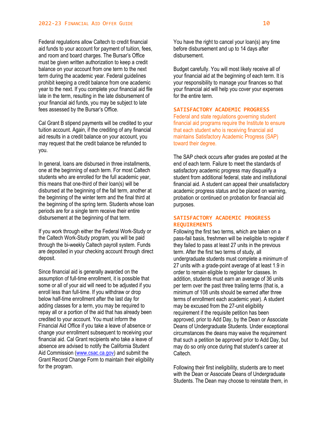Federal regulations allow Caltech to credit financial aid funds to your account for payment of tuition, fees, and room and board charges. The Bursar's Office must be given written authorization to keep a credit balance on your account from one term to the next term during the academic year. Federal guidelines prohibit keeping a credit balance from one academic year to the next. If you complete your financial aid file late in the term, resulting in the late disbursement of your financial aid funds, you may be subject to late fees assessed by the Bursar's Office.

Cal Grant B stipend payments will be credited to your tuition account. Again, if the crediting of any financial aid results in a credit balance on your account, you may request that the credit balance be refunded to you.

In general, loans are disbursed in three installments, one at the beginning of each term. For most Caltech students who are enrolled for the full academic year, this means that one-third of their loan(s) will be disbursed at the beginning of the fall term, another at the beginning of the winter term and the final third at the beginning of the spring term. Students whose loan periods are for a single term receive their entire disbursement at the beginning of that term.

If you work through either the Federal Work-Study or the Caltech Work-Study program, you will be paid through the bi-weekly Caltech payroll system. Funds are deposited in your checking account through direct deposit.

Since financial aid is generally awarded on the assumption of full-time enrollment, it is possible that some or all of your aid will need to be adjusted if you enroll less than full-time. If you withdraw or drop below half-time enrollment after the last day for adding classes for a term, you may be required to repay all or a portion of the aid that has already been credited to your account. You must inform the Financial Aid Office if you take a leave of absence or change your enrollment subsequent to receiving your financial aid. Cal Grant recipients who take a leave of absence are advised to notify the California Student Aid Commission [\(www.csac.ca.gov\)](http://www.csac.ca.gov/) and submit the Grant Record Change Form to maintain their eligibility for the program.

You have the right to cancel your loan(s) any time before disbursement and up to 14 days after disbursement.

Budget carefully. You will most likely receive all of your financial aid at the beginning of each term. It is your responsibility to manage your finances so that your financial aid will help you cover your expenses for the entire term.

#### **SATISFACTORY ACADEMIC PROGRESS**

Federal and state regulations governing student financial aid programs require the Institute to ensure that each student who is receiving financial aid maintains Satisfactory Academic Progress (SAP) toward their degree.

The SAP check occurs after grades are posted at the end of each term. Failure to meet the standards of satisfactory academic progress may disqualify a student from additional federal, state and institutional financial aid. A student can appeal their unsatisfactory academic progress status and be placed on warning, probation or continued on probation for financial aid purposes.

# **SATISFACTORY ACADEMIC PROGRESS REQUIREMENTS**

Following the first two terms, which are taken on a pass-fail basis, freshmen will be ineligible to register if they failed to pass at least 27 units in the previous term. After the first two terms of study, all undergraduate students must complete a minimum of 27 units with a grade-point average of at least 1.9 in order to remain eligible to register for classes. In addition, students must earn an average of 36 units per term over the past three trailing terms (that is, a minimum of 108 units should be earned after three terms of enrollment each academic year). A student may be excused from the 27-unit eligibility requirement if the requisite petition has been approved, prior to Add Day, by the Dean or Associate Deans of Undergraduate Students. Under exceptional circumstances the deans may waive the requirement that such a petition be approved prior to Add Day, but may do so only once during that student's career at Caltech.

Following their first ineligibility, students are to meet with the Dean or Associate Deans of Undergraduate Students. The Dean may choose to reinstate them, in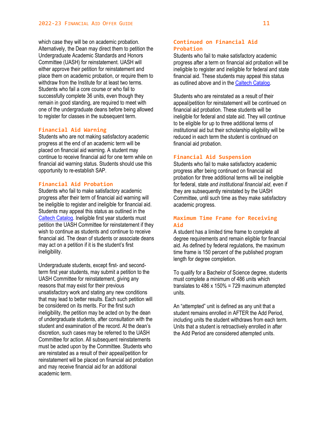which case they will be on academic probation. Alternatively, the Dean may direct them to petition the Undergraduate Academic Standards and Honors Committee (UASH) for reinstatement. UASH will either approve their petition for reinstatement and place them on academic probation, or require them to withdraw from the Institute for at least two terms. Students who fail a core course or who fail to successfully complete 36 units, even though they remain in good standing, are required to meet with one of the undergraduate deans before being allowed to register for classes in the subsequent term.

# **Financial Aid Warning**

Students who are not making satisfactory academic progress at the end of an academic term will be placed on financial aid warning. A student may continue to receive financial aid for one term while on financial aid warning status. Students should use this opportunity to re-establish SAP.

# **Financial Aid Probation**

Students who fail to make satisfactory academic progress after their term of financial aid warning will be ineligible to register and ineligible for financial aid. Students may appeal this status as outlined in the [Caltech Catalog.](http://catalog.caltech.edu/) Ineligible first year students must petition the UASH Committee for reinstatement if they wish to continue as students and continue to receive financial aid. The dean of students or associate deans may act on a petition if it is the student's first ineligibility.

Undergraduate students, except first- and secondterm first year students, may submit a petition to the UASH Committee for reinstatement, giving any reasons that may exist for their previous unsatisfactory work and stating any new conditions that may lead to better results. Each such petition will be considered on its merits. For the first such ineligibility, the petition may be acted on by the dean of undergraduate students, after consultation with the student and examination of the record. At the dean's discretion, such cases may be referred to the UASH Committee for action. All subsequent reinstatements must be acted upon by the Committee. Students who are reinstated as a result of their appeal/petition for reinstatement will be placed on financial aid probation and may receive financial aid for an additional academic term.

# **Continued on Financial Aid Probation**

Students who fail to make satisfactory academic progress after a term on financial aid probation will be ineligible to register and ineligible for federal and state financial aid. These students may appeal this status as outlined above and in th[e Caltech Catalog.](http://catalog.caltech.edu/)

Students who are reinstated as a result of their appeal/petition for reinstatement will be continued on financial aid probation. These students will be ineligible for federal and state aid. They will continue to be eligible for up to three additional terms of institutional aid but their scholarship eligibility will be reduced in each term the student is continued on financial aid probation.

#### **Financial Aid Suspension**

Students who fail to make satisfactory academic progress after being continued on financial aid probation for three additional terms will be ineligible for federal, state *and institutional financial aid*, even if they are subsequently reinstated by the UASH Committee, until such time as they make satisfactory academic progress.

# **Maximum Time Frame for Receiving Aid**

A student has a limited time frame to complete all degree requirements and remain eligible for financial aid. As defined by federal regulations, the maximum time frame is 150 percent of the published program length for degree completion.

To qualify for a Bachelor of Science degree, students must complete a minimum of 486 units which translates to  $486 \times 150\% = 729$  maximum attempted units.

An "attempted" unit is defined as any unit that a student remains enrolled in AFTER the Add Period, including units the student withdraws from each term. Units that a student is retroactively enrolled in after the Add Period are considered attempted units.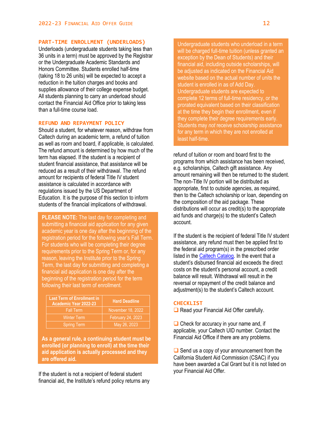### **PART-TIME ENROLLMENT (UNDERLOADS)**

Underloads (undergraduate students taking less than 36 units in a term) must be approved by the Registrar or the Undergraduate Academic Standards and Honors Committee. Students enrolled half-time (taking 18 to 26 units) will be expected to accept a reduction in the tuition charges and books and supplies allowance of their college expense budget. All students planning to carry an underload should contact the Financial Aid Office prior to taking less than a full-time course load.

# **REFUND AND REPAYMENT POLICY**

Should a student, for whatever reason, withdraw from Caltech during an academic term, a refund of tuition as well as room and board, if applicable, is calculated. The refund amount is determined by how much of the term has elapsed. If the student is a recipient of student financial assistance, that assistance will be reduced as a result of their withdrawal. The refund amount for recipients of federal Title IV student assistance is calculated in accordance with regulations issued by the US Department of Education. It is the purpose of this section to inform students of the financial implications of withdrawal.

**PLEASE NOTE:** The last day for completing and submitting a financial aid application for any given academic year is one day after the beginning of the registration period for the following year's Fall Term. For students who will be completing their degree requirements prior to the Spring Term or, for any reason, leaving the Institute prior to the Spring Term, the last day for submitting and completing a financial aid application is one day after the beginning of the registration period for the term following their last term of enrollment.

| <b>Last Term of Enrollment in</b><br>Academic Year 2022-23 | <b>Hard Deadline</b> |
|------------------------------------------------------------|----------------------|
| <b>Fall Term</b>                                           | November 18, 2022    |
| <b>Winter Term</b>                                         | February 24, 2023    |
| <b>Spring Term</b>                                         | May 26, 2023         |

**As a general rule, a continuing student must be enrolled (or planning to enroll) at the time their aid application is actually processed and they are offered aid.**

If the student is not a recipient of federal student financial aid, the Institute's refund policy returns any

Undergraduate students who underload in a term will be charged full-time tuition (unless granted an exception by the Dean of Students) and their financial aid, including outside scholarships, will be adjusted as indicated on the Financial Aid website based on the actual number of units the student is enrolled in as of Add Day. Undergraduate students are expected to complete 12 terms of full-time residency, or the prorated equivalent based on their classification at the time they begin their enrollment, even if they complete their degree requirements early. Students may *not* receive scholarship assistance for any term in which they are not enrolled at least half-time.

refund of tuition or room and board first to the programs from which assistance has been received, e.g. scholarships, Caltech gift assistance. Any amount remaining will then be returned to the student. The non-Title IV portion will be distributed as appropriate, first to outside agencies, as required, then to the Caltech scholarship or loan, depending on the composition of the aid package. These distributions will occur as credit(s) to the appropriate aid funds and charge(s) to the student's Caltech account.

If the student is the recipient of federal Title IV student assistance, any refund must then be applied first to the federal aid program(s) in the prescribed order listed in the [Caltech Catalog.](http://catalog.caltech.edu/) In the event that a student's disbursed financial aid exceeds the direct costs on the student's personal account, a credit balance will result. Withdrawal will result in the reversal or repayment of the credit balance and adjustment(s) to the student's Caltech account.

# **CHECKLIST**

**□ Read your Financial Aid Offer carefully.** 

 $\Box$  Check for accuracy in your name and, if applicable, your Caltech UID number. Contact the Financial Aid Office if there are any problems.

 $\Box$  Send us a copy of your announcement from the California Student Aid Commission (CSAC) if you have been awarded a Cal Grant but it is not listed on your Financial Aid Offer.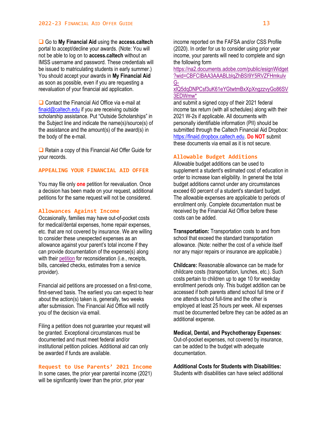Go to **My Financial Aid** using the **access.caltech** portal to accept/decline your awards. (Note: You will not be able to log on to **access.caltech** without an IMSS username and password. These credentials will be issued to matriculating students in early summer.) You should accept your awards in **My Financial Aid** as soon as possible, even if you are requesting a reevaluation of your financial aid application.

 $\Box$  Contact the Financial Aid Office via e-mail at [finaid@caltech.edu](mailto:finaid@caltech.edu) if you are receiving outside scholarship assistance. Put "Outside Scholarships" in the Subject line and indicate the name(s)/source(s) of the assistance and the amount(s) of the award(s) in the body of the e-mail.

**□** Retain a copy of this Financial Aid Offer Guide for your records.

#### **APPEALING YOUR FINANCIAL AID OFFER**

You may file only **one** petition for reevaluation. Once a decision has been made on your request, additional petitions for the same request will not be considered.

#### **Allowances Against Income**

Occasionally, families may have out-of-pocket costs for medical/dental expenses, home repair expenses, etc. that are not covered by insurance. We are willing to consider these unexpected expenses as an allowance against your parent's total income if they can provide documentation of the expense(s) along with thei[r petition](https://finaid.sites.caltech.edu/documents/3684/Appeal.pdf) for reconsideration (i.e., receipts, bills, canceled checks, estimates from a service provider).

Financial aid petitions are processed on a first-come, first-served basis. The earliest you can expect to hear about the action(s) taken is, generally, two weeks after submission. The Financial Aid Office will notify you of the decision via email.

Filing a petition does not guarantee your request will be granted. Exceptional circumstances must be documented and must meet federal and/or institutional petition policies. Additional aid can only be awarded if funds are available.

#### **Request to Use Parents' 2021 Income**

In some cases, the prior year parental income (2021) will be significantly lower than the prior, prior year

income reported on the FAFSA and/or CSS Profile (2020). In order for us to consider using prior year income, your parents will need to complete and sign the following form

[https://na2.documents.adobe.com/public/esignWidget](https://na2.documents.adobe.com/public/esignWidget?wid=CBFCIBAA3AAABLblqZhBSI9Y5RVZFHmkulvG-xlQ5dqDNPCsf3uK61eYGtwtmBxXpXngzzvyGo86SV3EDWmw*) [?wid=CBFCIBAA3AAABLblqZhBSI9Y5RVZFHmkulv](https://na2.documents.adobe.com/public/esignWidget?wid=CBFCIBAA3AAABLblqZhBSI9Y5RVZFHmkulvG-xlQ5dqDNPCsf3uK61eYGtwtmBxXpXngzzvyGo86SV3EDWmw*) [G-](https://na2.documents.adobe.com/public/esignWidget?wid=CBFCIBAA3AAABLblqZhBSI9Y5RVZFHmkulvG-xlQ5dqDNPCsf3uK61eYGtwtmBxXpXngzzvyGo86SV3EDWmw*)

### [xlQ5dqDNPCsf3uK61eYGtwtmBxXpXngzzvyGo86SV](https://na2.documents.adobe.com/public/esignWidget?wid=CBFCIBAA3AAABLblqZhBSI9Y5RVZFHmkulvG-xlQ5dqDNPCsf3uK61eYGtwtmBxXpXngzzvyGo86SV3EDWmw*) [3EDWmw\\*](https://na2.documents.adobe.com/public/esignWidget?wid=CBFCIBAA3AAABLblqZhBSI9Y5RVZFHmkulvG-xlQ5dqDNPCsf3uK61eYGtwtmBxXpXngzzvyGo86SV3EDWmw*)

and submit a signed copy of their 2021 federal income tax return (with all schedules) along with their 2021 W-2s if applicable. All documents with personally identifiable information (PII) should be submitted through the Caltech Financial Aid Dropbox: [https://finaid.dropbox.caltech.edu.](https://finaid.dropbox.caltech.edu/) **Do NOT** submit these documents via email as it is not secure.

#### **Allowable Budget Additions**

Allowable budget additions can be used to supplement a student's estimated cost of education in order to increase loan eligibility. In general the total budget additions cannot under any circumstances exceed 60 percent of a student's standard budget. The allowable expenses are applicable to periods of enrollment only. Complete documentation must be received by the Financial Aid Office before these costs can be added.

**Transportation:** Transportation costs to and from school that exceed the standard transportation allowance. (Note: neither the cost of a vehicle itself nor any major repairs or insurance are applicable.)

**Childcare:** Reasonable allowance can be made for childcare costs (transportation, lunches, etc.). Such costs pertain to children up to age 10 for weekday enrollment periods only. This budget addition can be accessed if both parents attend school full time or if one attends school full-time and the other is employed at least 25 hours per week. All expenses must be documented before they can be added as an additional expense.

#### **Medical, Dental, and Psychotherapy Expenses:** Out-of-pocket expenses, not covered by insurance, can be added to the budget with adequate documentation.

**Additional Costs for Students with Disabilities:** Students with disabilities can have select additional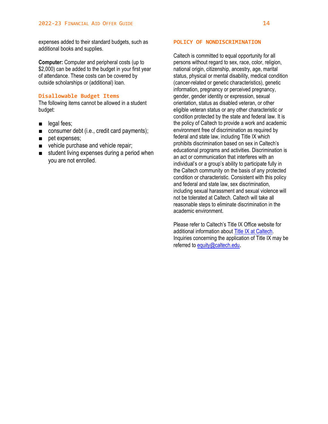expenses added to their standard budgets, such as additional books and supplies.

**Computer:** Computer and peripheral costs (up to \$2,000) can be added to the budget in your first year of attendance. These costs can be covered by outside scholarships or (additional) loan.

#### **Disallowable Budget Items**

The following items cannot be allowed in a student budget:

- legal fees;
- consumer debt (i.e., credit card payments);
- pet expenses;
- vehicle purchase and vehicle repair;
- student living expenses during a period when you are not enrolled.

#### **POLICY OF NONDISCRIMINATION**

Caltech is committed to equal opportunity for all persons without regard to sex, race, color, religion, national origin, citizenship, ancestry, age, marital status, physical or mental disability, medical condition (cancer-related or genetic characteristics), genetic information, pregnancy or perceived pregnancy, gender, gender identity or expression, sexual orientation, status as disabled veteran, or other eligible veteran status or any other characteristic or condition protected by the state and federal law. It is the policy of Caltech to provide a work and academic environment free of discrimination as required by federal and state law, including Title IX which prohibits discrimination based on sex in Caltech's educational programs and activities. Discrimination is an act or communication that interferes with an individual's or a group's ability to participate fully in the Caltech community on the basis of any protected condition or characteristic. Consistent with this policy and federal and state law, sex discrimination, including sexual harassment and sexual violence will not be tolerated at Caltech. Caltech will take all reasonable steps to eliminate discrimination in the academic environment.

Please refer to Caltech's Title IX Office website for additional information about [Title IX at Caltech.](http://titleix.caltech.edu/) Inquiries concerning the application of Title IX may be referred to [equity@caltech.edu](mailto:equity@caltech.edu).